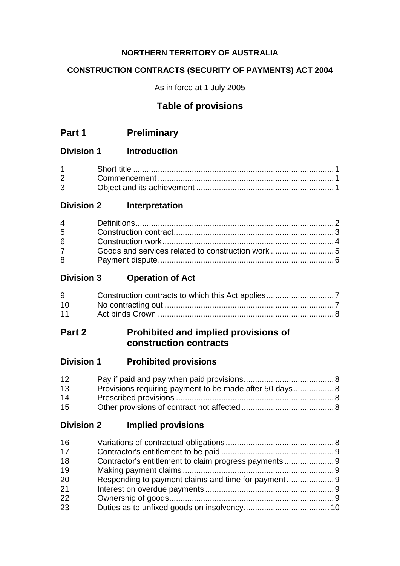# **NORTHERN TERRITORY OF AUSTRALIA**

## **CONSTRUCTION CONTRACTS (SECURITY OF PAYMENTS) ACT 2004**

As in force at 1 July 2005

# **Table of provisions**

# **Part 1 Preliminary**

## **Division 1 Introduction**

| $1 \quad \Box$                 |  |
|--------------------------------|--|
| $2 \left( \frac{1}{2} \right)$ |  |
| $3^{\circ}$                    |  |

# **Division 2 Interpretation**

| $5^{\circ}$ |  |
|-------------|--|
| 6           |  |
| $7^{\circ}$ |  |
| 8           |  |

# **Division 3 Operation of Act**

| 9               |  |
|-----------------|--|
| 10 <sup>°</sup> |  |
| 11              |  |

# **Part 2 Prohibited and implied provisions of construction contracts**

# **Division 1 Prohibited provisions**

| 12 |                                                         |  |
|----|---------------------------------------------------------|--|
| 13 | Provisions requiring payment to be made after 50 days 8 |  |
| 14 |                                                         |  |
| 15 |                                                         |  |

# **Division 2 Implied provisions**

| 16 |                                                       |  |
|----|-------------------------------------------------------|--|
| 17 |                                                       |  |
| 18 | Contractor's entitlement to claim progress payments 9 |  |
| 19 |                                                       |  |
| 20 |                                                       |  |
| 21 |                                                       |  |
| 22 |                                                       |  |
| 23 |                                                       |  |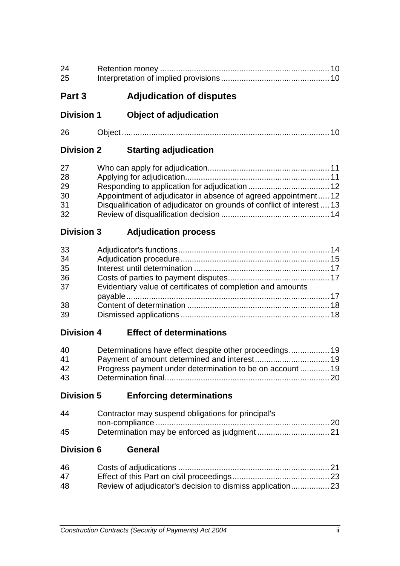| 24<br>25                               |                                                                                                                                          |  |
|----------------------------------------|------------------------------------------------------------------------------------------------------------------------------------------|--|
| Part 3                                 | <b>Adjudication of disputes</b>                                                                                                          |  |
| <b>Division 1</b>                      | <b>Object of adjudication</b>                                                                                                            |  |
| 26                                     |                                                                                                                                          |  |
| <b>Division 2</b>                      | <b>Starting adjudication</b>                                                                                                             |  |
| 27<br>28<br>29<br>30<br>31<br>32       | Appointment of adjudicator in absence of agreed appointment 12<br>Disqualification of adjudicator on grounds of conflict of interest  13 |  |
| <b>Division 3</b>                      | <b>Adjudication process</b>                                                                                                              |  |
| 33<br>34<br>35<br>36<br>37<br>38<br>39 | Evidentiary value of certificates of completion and amounts                                                                              |  |
| <b>Division 4</b>                      | <b>Effect of determinations</b>                                                                                                          |  |
| 40<br>41<br>42<br>43                   | Progress payment under determination to be on account  19                                                                                |  |
| <b>Division 5</b>                      | <b>Enforcing determinations</b>                                                                                                          |  |
| 44<br>45                               | Contractor may suspend obligations for principal's                                                                                       |  |
| <b>Division 6</b>                      | <b>General</b>                                                                                                                           |  |
| 46<br>47<br>48                         |                                                                                                                                          |  |
|                                        | ii.<br>Construction Contracts (Security of Payments) Act 2004                                                                            |  |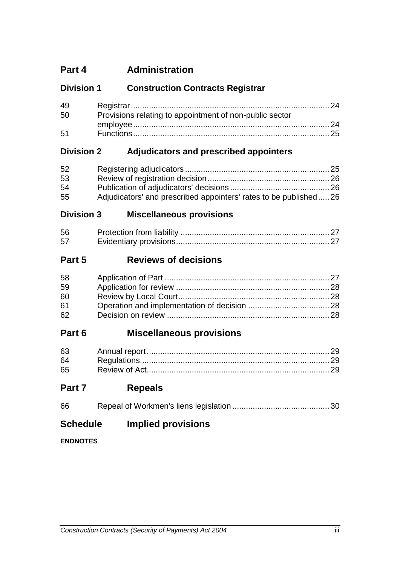# **Part 4 Administration**

# **Division 1 Construction Contracts Registrar**

| 49 |                                                         |  |
|----|---------------------------------------------------------|--|
| 50 | Provisions relating to appointment of non-public sector |  |
|    |                                                         |  |
| 51 |                                                         |  |

# **Division 2 Adjudicators and prescribed appointers**

| 52 |                                                                  |  |
|----|------------------------------------------------------------------|--|
| 53 |                                                                  |  |
| 54 |                                                                  |  |
| 55 | Adjudicators' and prescribed appointers' rates to be published26 |  |

## **Division 3 Miscellaneous provisions**

| 56 |  |
|----|--|
| 57 |  |

# **Part 5 Reviews of decisions**

| 58 |  |
|----|--|
| 59 |  |
| 60 |  |
| 61 |  |
| 62 |  |

# **Part 6 Miscellaneous provisions**

| 63 |  |
|----|--|
| 64 |  |
| 65 |  |

# **Part 7 Repeals**

| 66 |  |  |
|----|--|--|
|----|--|--|

# **Schedule Implied provisions**

### **ENDNOTES**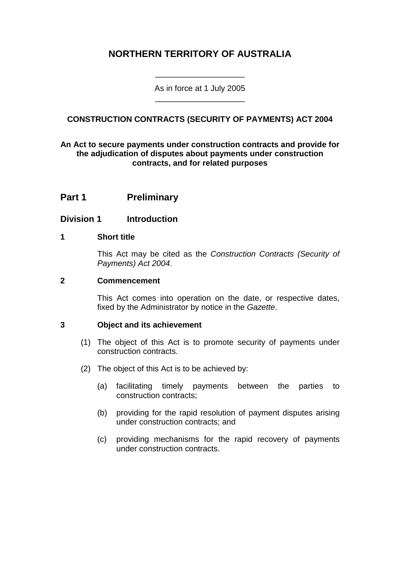# **NORTHERN TERRITORY OF AUSTRALIA**

As in force at 1 July 2005 \_\_\_\_\_\_\_\_\_\_\_\_\_\_\_\_\_\_\_\_

\_\_\_\_\_\_\_\_\_\_\_\_\_\_\_\_\_\_\_\_

## **CONSTRUCTION CONTRACTS (SECURITY OF PAYMENTS) ACT 2004**

### **An Act to secure payments under construction contracts and provide for the adjudication of disputes about payments under construction contracts, and for related purposes**

## **Part 1 Preliminary**

### **Division 1 Introduction**

### **1 Short title**

This Act may be cited as the *Construction Contracts (Security of Payments) Act 2004*.

### **2 Commencement**

This Act comes into operation on the date, or respective dates, fixed by the Administrator by notice in the *Gazette*.

### **3 Object and its achievement**

- (1) The object of this Act is to promote security of payments under construction contracts.
- (2) The object of this Act is to be achieved by:
	- (a) facilitating timely payments between the parties to construction contracts;
	- (b) providing for the rapid resolution of payment disputes arising under construction contracts; and
	- (c) providing mechanisms for the rapid recovery of payments under construction contracts.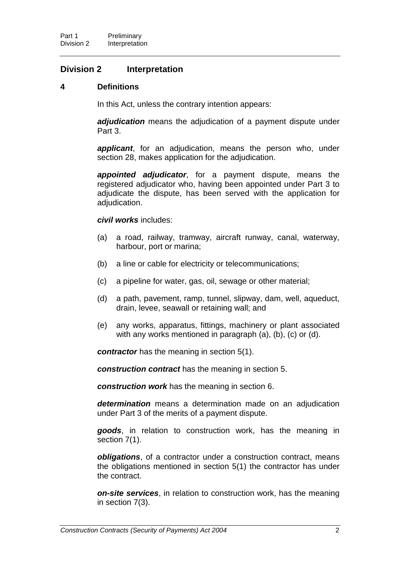## **Division 2 Interpretation**

### **4 Definitions**

In this Act, unless the contrary intention appears:

*adjudication* means the adjudication of a payment dispute under Part 3.

*applicant*, for an adjudication, means the person who, under section 28, makes application for the adjudication.

*appointed adjudicator*, for a payment dispute, means the registered adjudicator who, having been appointed under Part 3 to adjudicate the dispute, has been served with the application for adjudication.

#### *civil works* includes:

- (a) a road, railway, tramway, aircraft runway, canal, waterway, harbour, port or marina;
- (b) a line or cable for electricity or telecommunications;
- (c) a pipeline for water, gas, oil, sewage or other material;
- (d) a path, pavement, ramp, tunnel, slipway, dam, well, aqueduct, drain, levee, seawall or retaining wall; and
- (e) any works, apparatus, fittings, machinery or plant associated with any works mentioned in paragraph (a), (b), (c) or (d).

*contractor* has the meaning in section 5(1).

*construction contract* has the meaning in section 5.

*construction work* has the meaning in section 6.

*determination* means a determination made on an adjudication under Part 3 of the merits of a payment dispute.

*goods*, in relation to construction work, has the meaning in section 7(1).

*obligations*, of a contractor under a construction contract, means the obligations mentioned in section 5(1) the contractor has under the contract.

*on-site services*, in relation to construction work, has the meaning in section 7(3).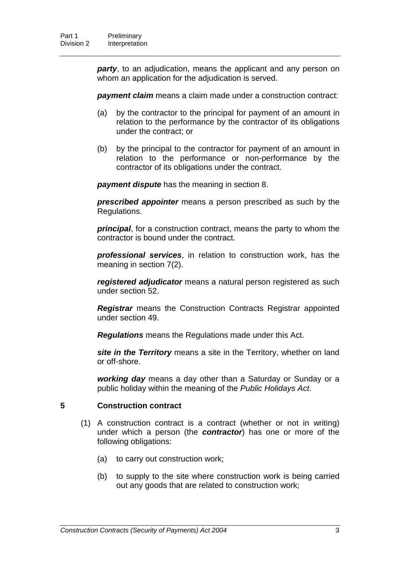*party*, to an adjudication, means the applicant and any person on whom an application for the adjudication is served.

**payment claim** means a claim made under a construction contract:

- (a) by the contractor to the principal for payment of an amount in relation to the performance by the contractor of its obligations under the contract; or
- (b) by the principal to the contractor for payment of an amount in relation to the performance or non-performance by the contractor of its obligations under the contract.

*payment dispute* has the meaning in section 8.

*prescribed appointer* means a person prescribed as such by the Regulations.

*principal*, for a construction contract, means the party to whom the contractor is bound under the contract.

*professional services*, in relation to construction work, has the meaning in section 7(2).

*registered adjudicator* means a natural person registered as such under section 52.

*Registrar* means the Construction Contracts Registrar appointed under section 49.

*Regulations* means the Regulations made under this Act.

*site in the Territory* means a site in the Territory, whether on land or off-shore.

*working day* means a day other than a Saturday or Sunday or a public holiday within the meaning of the *Public Holidays Act*.

#### **5 Construction contract**

- (1) A construction contract is a contract (whether or not in writing) under which a person (the *contractor*) has one or more of the following obligations:
	- (a) to carry out construction work;
	- (b) to supply to the site where construction work is being carried out any goods that are related to construction work;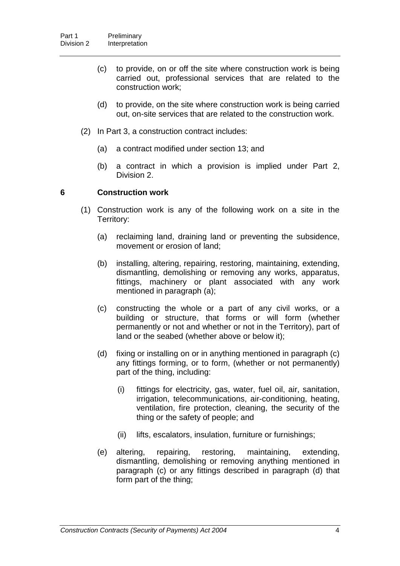- (c) to provide, on or off the site where construction work is being carried out, professional services that are related to the construction work;
- (d) to provide, on the site where construction work is being carried out, on-site services that are related to the construction work.
- (2) In Part 3, a construction contract includes:
	- (a) a contract modified under section 13; and
	- (b) a contract in which a provision is implied under Part 2, Division 2.

### **6 Construction work**

- (1) Construction work is any of the following work on a site in the Territory:
	- (a) reclaiming land, draining land or preventing the subsidence, movement or erosion of land;
	- (b) installing, altering, repairing, restoring, maintaining, extending, dismantling, demolishing or removing any works, apparatus, fittings, machinery or plant associated with any work mentioned in paragraph (a);
	- (c) constructing the whole or a part of any civil works, or a building or structure, that forms or will form (whether permanently or not and whether or not in the Territory), part of land or the seabed (whether above or below it);
	- (d) fixing or installing on or in anything mentioned in paragraph (c) any fittings forming, or to form, (whether or not permanently) part of the thing, including:
		- (i) fittings for electricity, gas, water, fuel oil, air, sanitation, irrigation, telecommunications, air-conditioning, heating, ventilation, fire protection, cleaning, the security of the thing or the safety of people; and
		- (ii) lifts, escalators, insulation, furniture or furnishings;
	- (e) altering, repairing, restoring, maintaining, extending, dismantling, demolishing or removing anything mentioned in paragraph (c) or any fittings described in paragraph (d) that form part of the thing;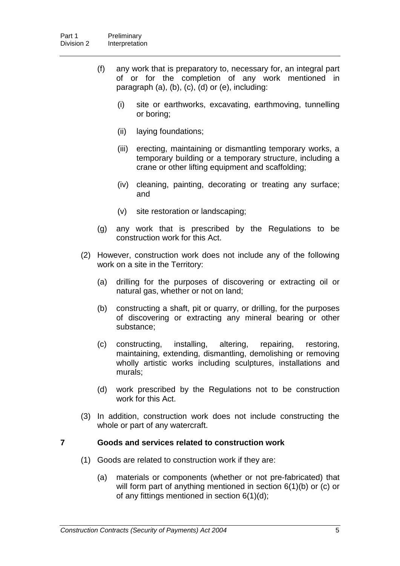- (f) any work that is preparatory to, necessary for, an integral part of or for the completion of any work mentioned in paragraph (a), (b), (c), (d) or (e), including:
	- (i) site or earthworks, excavating, earthmoving, tunnelling or boring;
	- (ii) laying foundations;
	- (iii) erecting, maintaining or dismantling temporary works, a temporary building or a temporary structure, including a crane or other lifting equipment and scaffolding;
	- (iv) cleaning, painting, decorating or treating any surface; and
	- (v) site restoration or landscaping;
- (g) any work that is prescribed by the Regulations to be construction work for this Act.
- (2) However, construction work does not include any of the following work on a site in the Territory:
	- (a) drilling for the purposes of discovering or extracting oil or natural gas, whether or not on land;
	- (b) constructing a shaft, pit or quarry, or drilling, for the purposes of discovering or extracting any mineral bearing or other substance;
	- (c) constructing, installing, altering, repairing, restoring, maintaining, extending, dismantling, demolishing or removing wholly artistic works including sculptures, installations and murals;
	- (d) work prescribed by the Regulations not to be construction work for this Act.
- (3) In addition, construction work does not include constructing the whole or part of any watercraft.

### **7 Goods and services related to construction work**

- (1) Goods are related to construction work if they are:
	- (a) materials or components (whether or not pre-fabricated) that will form part of anything mentioned in section 6(1)(b) or (c) or of any fittings mentioned in section 6(1)(d);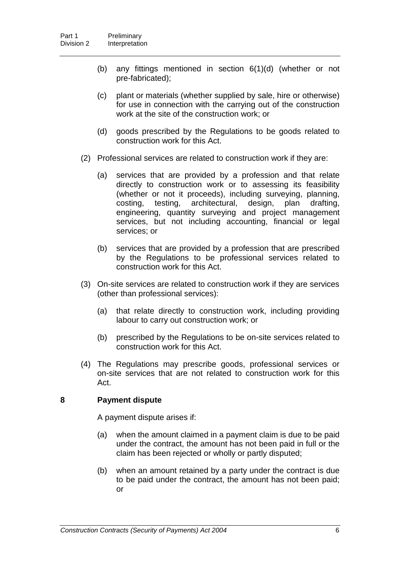- (b) any fittings mentioned in section 6(1)(d) (whether or not pre-fabricated);
- (c) plant or materials (whether supplied by sale, hire or otherwise) for use in connection with the carrying out of the construction work at the site of the construction work; or
- (d) goods prescribed by the Regulations to be goods related to construction work for this Act.
- (2) Professional services are related to construction work if they are:
	- (a) services that are provided by a profession and that relate directly to construction work or to assessing its feasibility (whether or not it proceeds), including surveying, planning, costing, testing, architectural, design, plan drafting, engineering, quantity surveying and project management services, but not including accounting, financial or legal services; or
	- (b) services that are provided by a profession that are prescribed by the Regulations to be professional services related to construction work for this Act.
- (3) On-site services are related to construction work if they are services (other than professional services):
	- (a) that relate directly to construction work, including providing labour to carry out construction work; or
	- (b) prescribed by the Regulations to be on-site services related to construction work for this Act.
- (4) The Regulations may prescribe goods, professional services or on-site services that are not related to construction work for this Act.

### **8 Payment dispute**

A payment dispute arises if:

- (a) when the amount claimed in a payment claim is due to be paid under the contract, the amount has not been paid in full or the claim has been rejected or wholly or partly disputed;
- (b) when an amount retained by a party under the contract is due to be paid under the contract, the amount has not been paid; or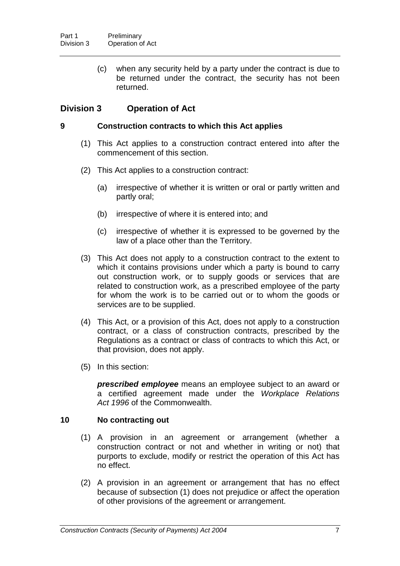(c) when any security held by a party under the contract is due to be returned under the contract, the security has not been returned.

### **Division 3 Operation of Act**

### **9 Construction contracts to which this Act applies**

- (1) This Act applies to a construction contract entered into after the commencement of this section.
- (2) This Act applies to a construction contract:
	- (a) irrespective of whether it is written or oral or partly written and partly oral;
	- (b) irrespective of where it is entered into; and
	- (c) irrespective of whether it is expressed to be governed by the law of a place other than the Territory.
- (3) This Act does not apply to a construction contract to the extent to which it contains provisions under which a party is bound to carry out construction work, or to supply goods or services that are related to construction work, as a prescribed employee of the party for whom the work is to be carried out or to whom the goods or services are to be supplied.
- (4) This Act, or a provision of this Act, does not apply to a construction contract, or a class of construction contracts, prescribed by the Regulations as a contract or class of contracts to which this Act, or that provision, does not apply.
- (5) In this section:

*prescribed employee* means an employee subject to an award or a certified agreement made under the *Workplace Relations Act 1996* of the Commonwealth.

### **10 No contracting out**

- (1) A provision in an agreement or arrangement (whether a construction contract or not and whether in writing or not) that purports to exclude, modify or restrict the operation of this Act has no effect.
- (2) A provision in an agreement or arrangement that has no effect because of subsection (1) does not prejudice or affect the operation of other provisions of the agreement or arrangement.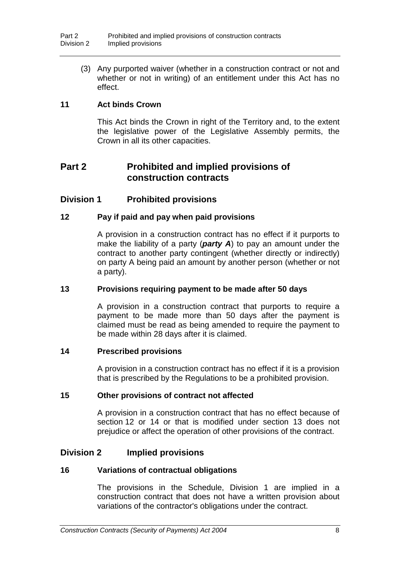(3) Any purported waiver (whether in a construction contract or not and whether or not in writing) of an entitlement under this Act has no effect.

### **11 Act binds Crown**

This Act binds the Crown in right of the Territory and, to the extent the legislative power of the Legislative Assembly permits, the Crown in all its other capacities.

# **Part 2 Prohibited and implied provisions of construction contracts**

### **Division 1 Prohibited provisions**

### **12 Pay if paid and pay when paid provisions**

A provision in a construction contract has no effect if it purports to make the liability of a party (*party A*) to pay an amount under the contract to another party contingent (whether directly or indirectly) on party A being paid an amount by another person (whether or not a party).

### **13 Provisions requiring payment to be made after 50 days**

A provision in a construction contract that purports to require a payment to be made more than 50 days after the payment is claimed must be read as being amended to require the payment to be made within 28 days after it is claimed.

#### **14 Prescribed provisions**

A provision in a construction contract has no effect if it is a provision that is prescribed by the Regulations to be a prohibited provision.

### **15 Other provisions of contract not affected**

A provision in a construction contract that has no effect because of section 12 or 14 or that is modified under section 13 does not prejudice or affect the operation of other provisions of the contract.

### **Division 2 Implied provisions**

### **16 Variations of contractual obligations**

The provisions in the Schedule, Division 1 are implied in a construction contract that does not have a written provision about variations of the contractor's obligations under the contract.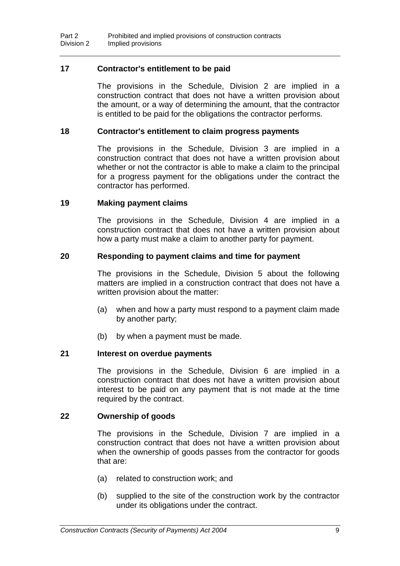### **17 Contractor's entitlement to be paid**

The provisions in the Schedule, Division 2 are implied in a construction contract that does not have a written provision about the amount, or a way of determining the amount, that the contractor is entitled to be paid for the obligations the contractor performs.

### **18 Contractor's entitlement to claim progress payments**

The provisions in the Schedule, Division 3 are implied in a construction contract that does not have a written provision about whether or not the contractor is able to make a claim to the principal for a progress payment for the obligations under the contract the contractor has performed.

### **19 Making payment claims**

The provisions in the Schedule, Division 4 are implied in a construction contract that does not have a written provision about how a party must make a claim to another party for payment.

### **20 Responding to payment claims and time for payment**

The provisions in the Schedule, Division 5 about the following matters are implied in a construction contract that does not have a written provision about the matter:

- (a) when and how a party must respond to a payment claim made by another party;
- (b) by when a payment must be made.

#### **21 Interest on overdue payments**

The provisions in the Schedule, Division 6 are implied in a construction contract that does not have a written provision about interest to be paid on any payment that is not made at the time required by the contract.

#### **22 Ownership of goods**

The provisions in the Schedule, Division 7 are implied in a construction contract that does not have a written provision about when the ownership of goods passes from the contractor for goods that are:

- (a) related to construction work; and
- (b) supplied to the site of the construction work by the contractor under its obligations under the contract.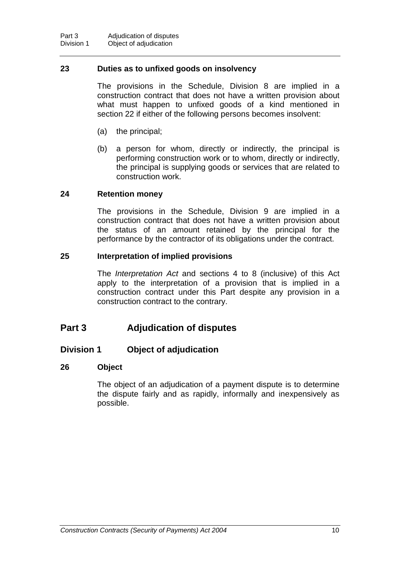### **23 Duties as to unfixed goods on insolvency**

The provisions in the Schedule, Division 8 are implied in a construction contract that does not have a written provision about what must happen to unfixed goods of a kind mentioned in section 22 if either of the following persons becomes insolvent:

- (a) the principal;
- (b) a person for whom, directly or indirectly, the principal is performing construction work or to whom, directly or indirectly, the principal is supplying goods or services that are related to construction work.

### **24 Retention money**

The provisions in the Schedule, Division 9 are implied in a construction contract that does not have a written provision about the status of an amount retained by the principal for the performance by the contractor of its obligations under the contract.

### **25 Interpretation of implied provisions**

The *Interpretation Act* and sections 4 to 8 (inclusive) of this Act apply to the interpretation of a provision that is implied in a construction contract under this Part despite any provision in a construction contract to the contrary.

## **Part 3 Adjudication of disputes**

### **Division 1 Object of adjudication**

### **26 Object**

The object of an adjudication of a payment dispute is to determine the dispute fairly and as rapidly, informally and inexpensively as possible.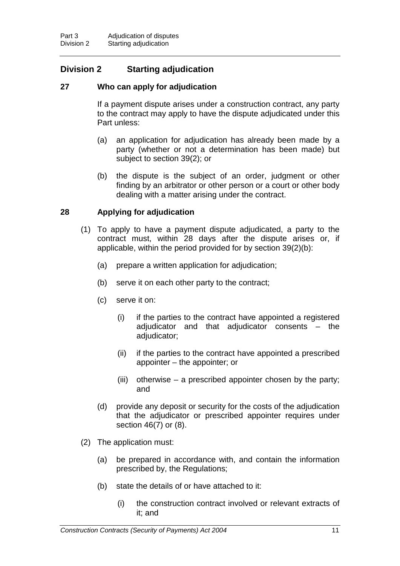# **Division 2 Starting adjudication**

### **27 Who can apply for adjudication**

If a payment dispute arises under a construction contract, any party to the contract may apply to have the dispute adjudicated under this Part unless:

- (a) an application for adjudication has already been made by a party (whether or not a determination has been made) but subject to section 39(2); or
- (b) the dispute is the subject of an order, judgment or other finding by an arbitrator or other person or a court or other body dealing with a matter arising under the contract.

### **28 Applying for adjudication**

- (1) To apply to have a payment dispute adjudicated, a party to the contract must, within 28 days after the dispute arises or, if applicable, within the period provided for by section 39(2)(b):
	- (a) prepare a written application for adjudication;
	- (b) serve it on each other party to the contract;
	- (c) serve it on:
		- (i) if the parties to the contract have appointed a registered adjudicator and that adjudicator consents – the adjudicator;
		- (ii) if the parties to the contract have appointed a prescribed appointer – the appointer; or
		- (iii) otherwise a prescribed appointer chosen by the party; and
	- (d) provide any deposit or security for the costs of the adjudication that the adjudicator or prescribed appointer requires under section 46(7) or (8).
- (2) The application must:
	- (a) be prepared in accordance with, and contain the information prescribed by, the Regulations;
	- (b) state the details of or have attached to it:
		- (i) the construction contract involved or relevant extracts of it; and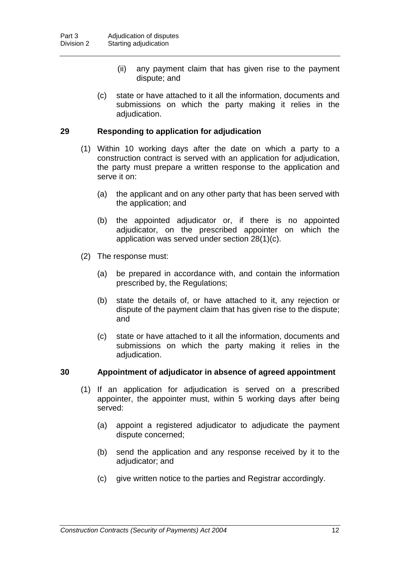- (ii) any payment claim that has given rise to the payment dispute; and
- (c) state or have attached to it all the information, documents and submissions on which the party making it relies in the adjudication.

### **29 Responding to application for adjudication**

- (1) Within 10 working days after the date on which a party to a construction contract is served with an application for adjudication, the party must prepare a written response to the application and serve it on:
	- (a) the applicant and on any other party that has been served with the application; and
	- (b) the appointed adjudicator or, if there is no appointed adjudicator, on the prescribed appointer on which the application was served under section 28(1)(c).
- (2) The response must:
	- (a) be prepared in accordance with, and contain the information prescribed by, the Regulations;
	- (b) state the details of, or have attached to it, any rejection or dispute of the payment claim that has given rise to the dispute; and
	- (c) state or have attached to it all the information, documents and submissions on which the party making it relies in the adjudication.

### **30 Appointment of adjudicator in absence of agreed appointment**

- (1) If an application for adjudication is served on a prescribed appointer, the appointer must, within 5 working days after being served:
	- (a) appoint a registered adjudicator to adjudicate the payment dispute concerned;
	- (b) send the application and any response received by it to the adjudicator; and
	- (c) give written notice to the parties and Registrar accordingly.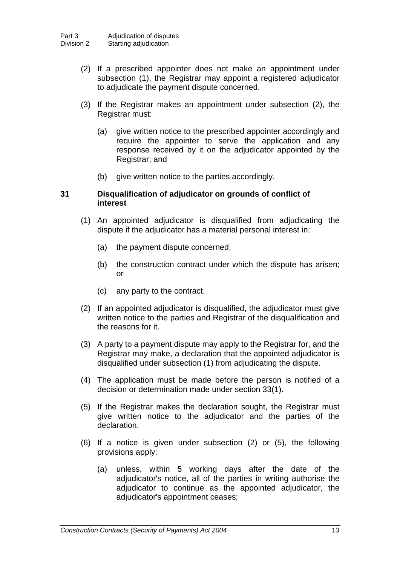- (2) If a prescribed appointer does not make an appointment under subsection (1), the Registrar may appoint a registered adjudicator to adjudicate the payment dispute concerned.
- (3) If the Registrar makes an appointment under subsection (2), the Registrar must:
	- (a) give written notice to the prescribed appointer accordingly and require the appointer to serve the application and any response received by it on the adjudicator appointed by the Registrar; and
	- (b) give written notice to the parties accordingly.

### **31 Disqualification of adjudicator on grounds of conflict of interest**

- (1) An appointed adjudicator is disqualified from adjudicating the dispute if the adjudicator has a material personal interest in:
	- (a) the payment dispute concerned;
	- (b) the construction contract under which the dispute has arisen; or
	- (c) any party to the contract.
- (2) If an appointed adjudicator is disqualified, the adjudicator must give written notice to the parties and Registrar of the disqualification and the reasons for it.
- (3) A party to a payment dispute may apply to the Registrar for, and the Registrar may make, a declaration that the appointed adjudicator is disqualified under subsection (1) from adjudicating the dispute.
- (4) The application must be made before the person is notified of a decision or determination made under section 33(1).
- (5) If the Registrar makes the declaration sought, the Registrar must give written notice to the adjudicator and the parties of the declaration.
- (6) If a notice is given under subsection (2) or (5), the following provisions apply:
	- (a) unless, within 5 working days after the date of the adjudicator's notice, all of the parties in writing authorise the adjudicator to continue as the appointed adjudicator, the adjudicator's appointment ceases;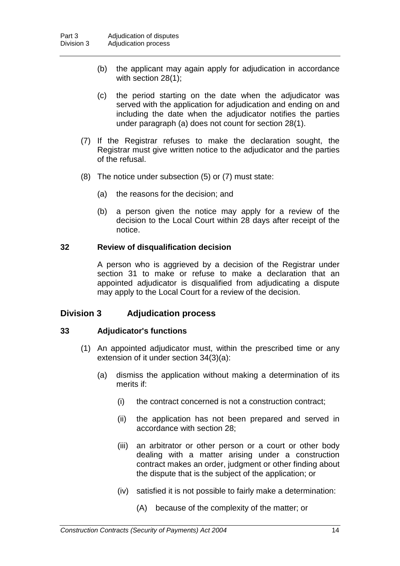- (b) the applicant may again apply for adjudication in accordance with section 28(1);
- (c) the period starting on the date when the adjudicator was served with the application for adjudication and ending on and including the date when the adjudicator notifies the parties under paragraph (a) does not count for section 28(1).
- (7) If the Registrar refuses to make the declaration sought, the Registrar must give written notice to the adjudicator and the parties of the refusal.
- (8) The notice under subsection (5) or (7) must state:
	- (a) the reasons for the decision; and
	- (b) a person given the notice may apply for a review of the decision to the Local Court within 28 days after receipt of the notice.

### **32 Review of disqualification decision**

A person who is aggrieved by a decision of the Registrar under section 31 to make or refuse to make a declaration that an appointed adjudicator is disqualified from adjudicating a dispute may apply to the Local Court for a review of the decision.

### **Division 3 Adjudication process**

#### **33 Adjudicator's functions**

- (1) An appointed adjudicator must, within the prescribed time or any extension of it under section 34(3)(a):
	- (a) dismiss the application without making a determination of its merits if:
		- (i) the contract concerned is not a construction contract;
		- (ii) the application has not been prepared and served in accordance with section 28;
		- (iii) an arbitrator or other person or a court or other body dealing with a matter arising under a construction contract makes an order, judgment or other finding about the dispute that is the subject of the application; or
		- (iv) satisfied it is not possible to fairly make a determination:
			- (A) because of the complexity of the matter; or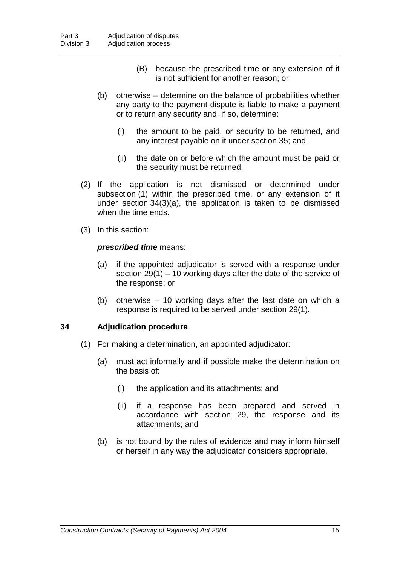- (B) because the prescribed time or any extension of it is not sufficient for another reason; or
- (b) otherwise determine on the balance of probabilities whether any party to the payment dispute is liable to make a payment or to return any security and, if so, determine:
	- (i) the amount to be paid, or security to be returned, and any interest payable on it under section 35; and
	- (ii) the date on or before which the amount must be paid or the security must be returned.
- (2) If the application is not dismissed or determined under subsection (1) within the prescribed time, or any extension of it under section 34(3)(a), the application is taken to be dismissed when the time ends.
- (3) In this section:

### *prescribed time* means:

- (a) if the appointed adjudicator is served with a response under section 29(1) – 10 working days after the date of the service of the response; or
- (b) otherwise 10 working days after the last date on which a response is required to be served under section 29(1).

### **34 Adjudication procedure**

- (1) For making a determination, an appointed adjudicator:
	- (a) must act informally and if possible make the determination on the basis of:
		- (i) the application and its attachments; and
		- (ii) if a response has been prepared and served in accordance with section 29, the response and its attachments; and
	- (b) is not bound by the rules of evidence and may inform himself or herself in any way the adjudicator considers appropriate.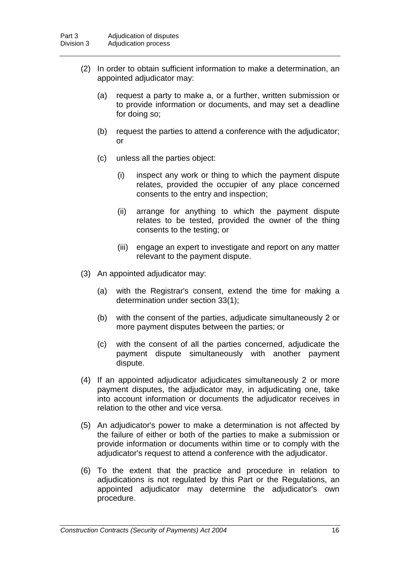- (2) In order to obtain sufficient information to make a determination, an appointed adjudicator may:
	- (a) request a party to make a, or a further, written submission or to provide information or documents, and may set a deadline for doing so;
	- (b) request the parties to attend a conference with the adjudicator; or
	- (c) unless all the parties object:
		- (i) inspect any work or thing to which the payment dispute relates, provided the occupier of any place concerned consents to the entry and inspection;
		- (ii) arrange for anything to which the payment dispute relates to be tested, provided the owner of the thing consents to the testing; or
		- (iii) engage an expert to investigate and report on any matter relevant to the payment dispute.
- (3) An appointed adjudicator may:
	- (a) with the Registrar's consent, extend the time for making a determination under section 33(1);
	- (b) with the consent of the parties, adjudicate simultaneously 2 or more payment disputes between the parties; or
	- (c) with the consent of all the parties concerned, adjudicate the payment dispute simultaneously with another payment dispute.
- (4) If an appointed adjudicator adjudicates simultaneously 2 or more payment disputes, the adjudicator may, in adjudicating one, take into account information or documents the adjudicator receives in relation to the other and vice versa.
- (5) An adjudicator's power to make a determination is not affected by the failure of either or both of the parties to make a submission or provide information or documents within time or to comply with the adjudicator's request to attend a conference with the adjudicator.
- (6) To the extent that the practice and procedure in relation to adjudications is not regulated by this Part or the Regulations, an appointed adjudicator may determine the adjudicator's own procedure.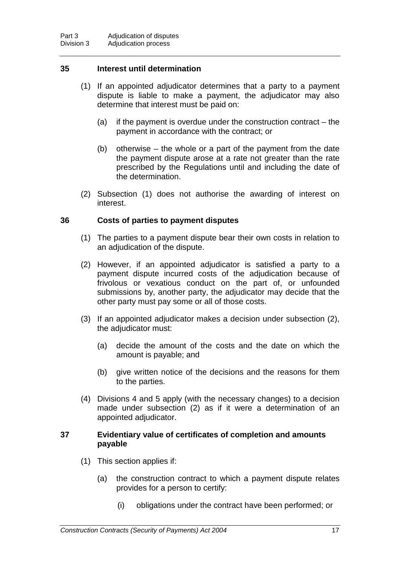### **35 Interest until determination**

- (1) If an appointed adjudicator determines that a party to a payment dispute is liable to make a payment, the adjudicator may also determine that interest must be paid on:
	- (a) if the payment is overdue under the construction contract the payment in accordance with the contract; or
	- (b) otherwise the whole or a part of the payment from the date the payment dispute arose at a rate not greater than the rate prescribed by the Regulations until and including the date of the determination.
- (2) Subsection (1) does not authorise the awarding of interest on interest.

### **36 Costs of parties to payment disputes**

- (1) The parties to a payment dispute bear their own costs in relation to an adjudication of the dispute.
- (2) However, if an appointed adjudicator is satisfied a party to a payment dispute incurred costs of the adjudication because of frivolous or vexatious conduct on the part of, or unfounded submissions by, another party, the adjudicator may decide that the other party must pay some or all of those costs.
- (3) If an appointed adjudicator makes a decision under subsection (2), the adjudicator must:
	- (a) decide the amount of the costs and the date on which the amount is payable; and
	- (b) give written notice of the decisions and the reasons for them to the parties.
- (4) Divisions 4 and 5 apply (with the necessary changes) to a decision made under subsection (2) as if it were a determination of an appointed adjudicator.

### **37 Evidentiary value of certificates of completion and amounts payable**

- (1) This section applies if:
	- (a) the construction contract to which a payment dispute relates provides for a person to certify:
		- (i) obligations under the contract have been performed; or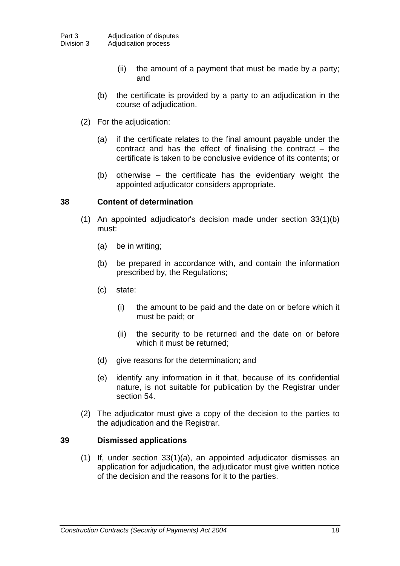- (ii) the amount of a payment that must be made by a party; and
- (b) the certificate is provided by a party to an adjudication in the course of adjudication.
- (2) For the adjudication:
	- (a) if the certificate relates to the final amount payable under the contract and has the effect of finalising the contract  $-$  the certificate is taken to be conclusive evidence of its contents; or
	- (b) otherwise the certificate has the evidentiary weight the appointed adjudicator considers appropriate.

### **38 Content of determination**

- (1) An appointed adjudicator's decision made under section 33(1)(b) must:
	- (a) be in writing;
	- (b) be prepared in accordance with, and contain the information prescribed by, the Regulations;
	- (c) state:
		- (i) the amount to be paid and the date on or before which it must be paid; or
		- (ii) the security to be returned and the date on or before which it must be returned;
	- (d) give reasons for the determination; and
	- (e) identify any information in it that, because of its confidential nature, is not suitable for publication by the Registrar under section 54.
- (2) The adjudicator must give a copy of the decision to the parties to the adjudication and the Registrar.

### **39 Dismissed applications**

(1) If, under section 33(1)(a), an appointed adjudicator dismisses an application for adjudication, the adjudicator must give written notice of the decision and the reasons for it to the parties.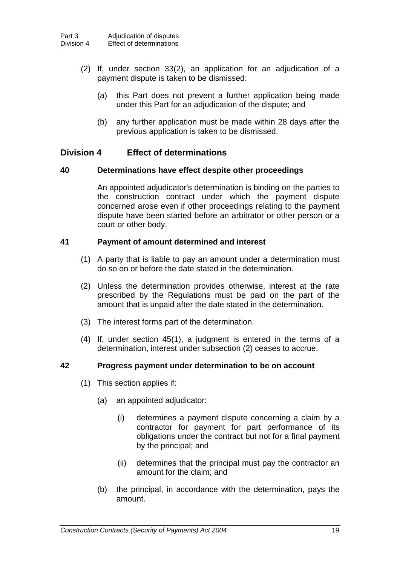- (2) If, under section 33(2), an application for an adjudication of a payment dispute is taken to be dismissed:
	- (a) this Part does not prevent a further application being made under this Part for an adjudication of the dispute; and
	- (b) any further application must be made within 28 days after the previous application is taken to be dismissed.

### **Division 4 Effect of determinations**

### **40 Determinations have effect despite other proceedings**

An appointed adjudicator's determination is binding on the parties to the construction contract under which the payment dispute concerned arose even if other proceedings relating to the payment dispute have been started before an arbitrator or other person or a court or other body.

### **41 Payment of amount determined and interest**

- (1) A party that is liable to pay an amount under a determination must do so on or before the date stated in the determination.
- (2) Unless the determination provides otherwise, interest at the rate prescribed by the Regulations must be paid on the part of the amount that is unpaid after the date stated in the determination.
- (3) The interest forms part of the determination.
- (4) If, under section 45(1), a judgment is entered in the terms of a determination, interest under subsection (2) ceases to accrue.

### **42 Progress payment under determination to be on account**

- (1) This section applies if:
	- (a) an appointed adjudicator:
		- (i) determines a payment dispute concerning a claim by a contractor for payment for part performance of its obligations under the contract but not for a final payment by the principal; and
		- (ii) determines that the principal must pay the contractor an amount for the claim; and
	- (b) the principal, in accordance with the determination, pays the amount.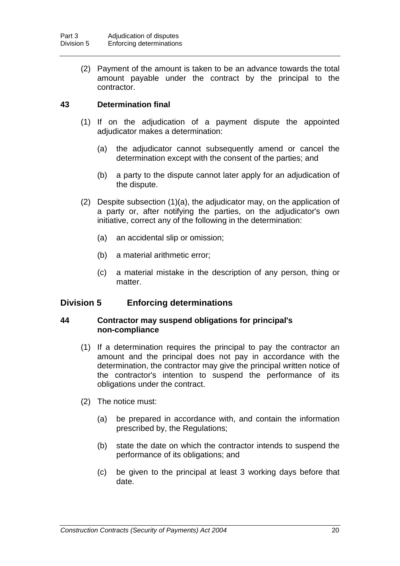(2) Payment of the amount is taken to be an advance towards the total amount payable under the contract by the principal to the contractor.

### **43 Determination final**

- (1) If on the adjudication of a payment dispute the appointed adjudicator makes a determination:
	- (a) the adjudicator cannot subsequently amend or cancel the determination except with the consent of the parties; and
	- (b) a party to the dispute cannot later apply for an adjudication of the dispute.
- (2) Despite subsection (1)(a), the adjudicator may, on the application of a party or, after notifying the parties, on the adjudicator's own initiative, correct any of the following in the determination:
	- (a) an accidental slip or omission;
	- (b) a material arithmetic error;
	- (c) a material mistake in the description of any person, thing or matter.

### **Division 5 Enforcing determinations**

### **44 Contractor may suspend obligations for principal's non-compliance**

- (1) If a determination requires the principal to pay the contractor an amount and the principal does not pay in accordance with the determination, the contractor may give the principal written notice of the contractor's intention to suspend the performance of its obligations under the contract.
- (2) The notice must:
	- (a) be prepared in accordance with, and contain the information prescribed by, the Regulations;
	- (b) state the date on which the contractor intends to suspend the performance of its obligations; and
	- (c) be given to the principal at least 3 working days before that date.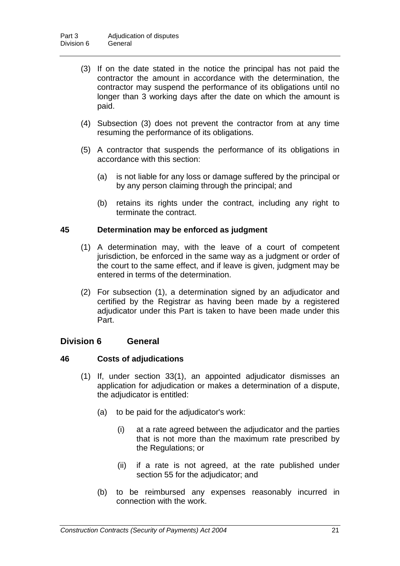- (3) If on the date stated in the notice the principal has not paid the contractor the amount in accordance with the determination, the contractor may suspend the performance of its obligations until no longer than 3 working days after the date on which the amount is paid.
- (4) Subsection (3) does not prevent the contractor from at any time resuming the performance of its obligations.
- (5) A contractor that suspends the performance of its obligations in accordance with this section:
	- (a) is not liable for any loss or damage suffered by the principal or by any person claiming through the principal; and
	- (b) retains its rights under the contract, including any right to terminate the contract.

### **45 Determination may be enforced as judgment**

- (1) A determination may, with the leave of a court of competent jurisdiction, be enforced in the same way as a judgment or order of the court to the same effect, and if leave is given, judgment may be entered in terms of the determination.
- (2) For subsection (1), a determination signed by an adjudicator and certified by the Registrar as having been made by a registered adjudicator under this Part is taken to have been made under this Part.

### **Division 6 General**

### **46 Costs of adjudications**

- (1) If, under section 33(1), an appointed adjudicator dismisses an application for adjudication or makes a determination of a dispute, the adjudicator is entitled:
	- (a) to be paid for the adjudicator's work:
		- (i) at a rate agreed between the adjudicator and the parties that is not more than the maximum rate prescribed by the Regulations; or
		- (ii) if a rate is not agreed, at the rate published under section 55 for the adjudicator; and
	- (b) to be reimbursed any expenses reasonably incurred in connection with the work.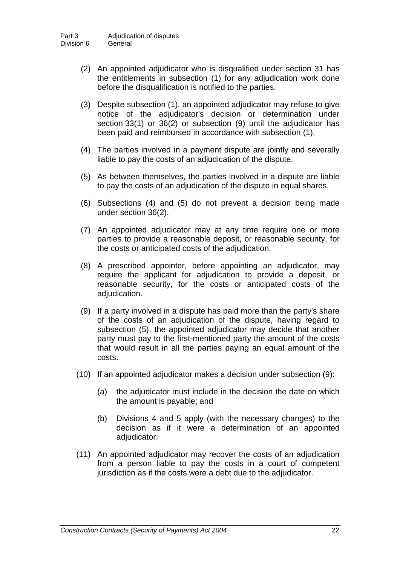- (2) An appointed adjudicator who is disqualified under section 31 has the entitlements in subsection (1) for any adjudication work done before the disqualification is notified to the parties.
- (3) Despite subsection (1), an appointed adjudicator may refuse to give notice of the adjudicator's decision or determination under section 33(1) or 36(2) or subsection (9) until the adjudicator has been paid and reimbursed in accordance with subsection (1).
- (4) The parties involved in a payment dispute are jointly and severally liable to pay the costs of an adjudication of the dispute.
- (5) As between themselves, the parties involved in a dispute are liable to pay the costs of an adjudication of the dispute in equal shares.
- (6) Subsections (4) and (5) do not prevent a decision being made under section 36(2).
- (7) An appointed adjudicator may at any time require one or more parties to provide a reasonable deposit, or reasonable security, for the costs or anticipated costs of the adjudication.
- (8) A prescribed appointer, before appointing an adjudicator, may require the applicant for adjudication to provide a deposit, or reasonable security, for the costs or anticipated costs of the adjudication.
- (9) If a party involved in a dispute has paid more than the party's share of the costs of an adjudication of the dispute, having regard to subsection (5), the appointed adjudicator may decide that another party must pay to the first-mentioned party the amount of the costs that would result in all the parties paying an equal amount of the costs.
- (10) If an appointed adjudicator makes a decision under subsection (9):
	- (a) the adjudicator must include in the decision the date on which the amount is payable; and
	- (b) Divisions 4 and 5 apply (with the necessary changes) to the decision as if it were a determination of an appointed adjudicator.
- (11) An appointed adjudicator may recover the costs of an adjudication from a person liable to pay the costs in a court of competent jurisdiction as if the costs were a debt due to the adjudicator.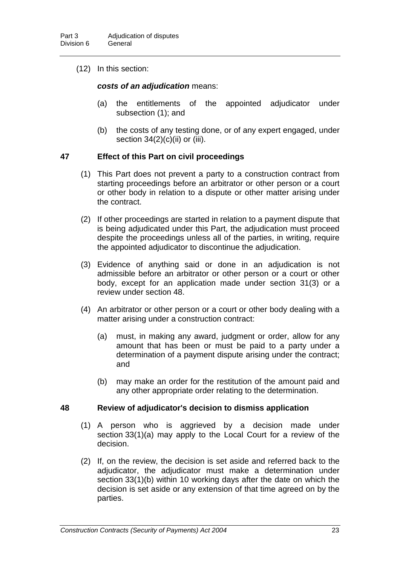(12) In this section:

### *costs of an adjudication* means:

- (a) the entitlements of the appointed adjudicator under subsection (1); and
- (b) the costs of any testing done, or of any expert engaged, under section  $34(2)(c)(ii)$  or (iii).

### **47 Effect of this Part on civil proceedings**

- (1) This Part does not prevent a party to a construction contract from starting proceedings before an arbitrator or other person or a court or other body in relation to a dispute or other matter arising under the contract.
- (2) If other proceedings are started in relation to a payment dispute that is being adjudicated under this Part, the adjudication must proceed despite the proceedings unless all of the parties, in writing, require the appointed adjudicator to discontinue the adjudication.
- (3) Evidence of anything said or done in an adjudication is not admissible before an arbitrator or other person or a court or other body, except for an application made under section 31(3) or a review under section 48.
- (4) An arbitrator or other person or a court or other body dealing with a matter arising under a construction contract:
	- (a) must, in making any award, judgment or order, allow for any amount that has been or must be paid to a party under a determination of a payment dispute arising under the contract; and
	- (b) may make an order for the restitution of the amount paid and any other appropriate order relating to the determination.

#### **48 Review of adjudicator's decision to dismiss application**

- (1) A person who is aggrieved by a decision made under section 33(1)(a) may apply to the Local Court for a review of the decision.
- (2) If, on the review, the decision is set aside and referred back to the adjudicator, the adjudicator must make a determination under section 33(1)(b) within 10 working days after the date on which the decision is set aside or any extension of that time agreed on by the parties.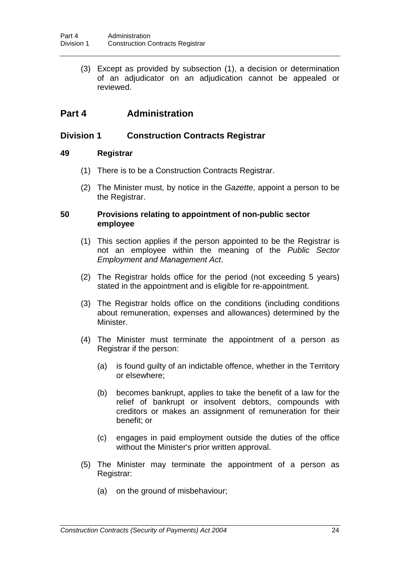(3) Except as provided by subsection (1), a decision or determination of an adjudicator on an adjudication cannot be appealed or reviewed.

# **Part 4 Administration**

### **Division 1 Construction Contracts Registrar**

### **49 Registrar**

- (1) There is to be a Construction Contracts Registrar.
- (2) The Minister must, by notice in the *Gazette*, appoint a person to be the Registrar.

### **50 Provisions relating to appointment of non-public sector employee**

- (1) This section applies if the person appointed to be the Registrar is not an employee within the meaning of the *Public Sector Employment and Management Act*.
- (2) The Registrar holds office for the period (not exceeding 5 years) stated in the appointment and is eligible for re-appointment.
- (3) The Registrar holds office on the conditions (including conditions about remuneration, expenses and allowances) determined by the Minister.
- (4) The Minister must terminate the appointment of a person as Registrar if the person:
	- (a) is found guilty of an indictable offence, whether in the Territory or elsewhere;
	- (b) becomes bankrupt, applies to take the benefit of a law for the relief of bankrupt or insolvent debtors, compounds with creditors or makes an assignment of remuneration for their benefit; or
	- (c) engages in paid employment outside the duties of the office without the Minister's prior written approval.
- (5) The Minister may terminate the appointment of a person as Registrar:
	- (a) on the ground of misbehaviour;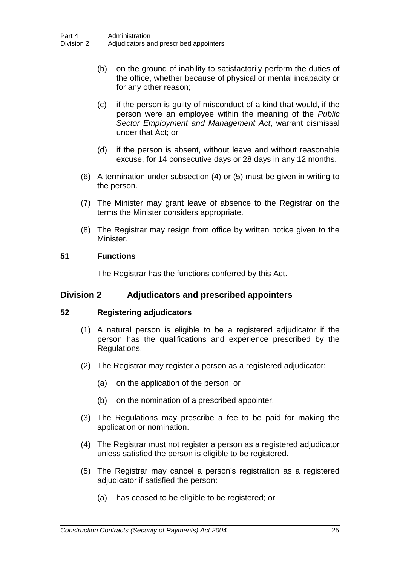- (b) on the ground of inability to satisfactorily perform the duties of the office, whether because of physical or mental incapacity or for any other reason;
- (c) if the person is guilty of misconduct of a kind that would, if the person were an employee within the meaning of the *Public Sector Employment and Management Act*, warrant dismissal under that Act; or
- (d) if the person is absent, without leave and without reasonable excuse, for 14 consecutive days or 28 days in any 12 months.
- (6) A termination under subsection (4) or (5) must be given in writing to the person.
- (7) The Minister may grant leave of absence to the Registrar on the terms the Minister considers appropriate.
- (8) The Registrar may resign from office by written notice given to the Minister.

### **51 Functions**

The Registrar has the functions conferred by this Act.

### **Division 2 Adjudicators and prescribed appointers**

#### **52 Registering adjudicators**

- (1) A natural person is eligible to be a registered adjudicator if the person has the qualifications and experience prescribed by the Regulations.
- (2) The Registrar may register a person as a registered adjudicator:
	- (a) on the application of the person; or
	- (b) on the nomination of a prescribed appointer.
- (3) The Regulations may prescribe a fee to be paid for making the application or nomination.
- (4) The Registrar must not register a person as a registered adjudicator unless satisfied the person is eligible to be registered.
- (5) The Registrar may cancel a person's registration as a registered adjudicator if satisfied the person:
	- (a) has ceased to be eligible to be registered; or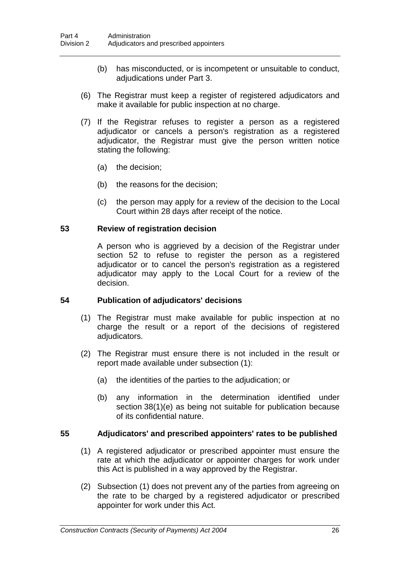- (b) has misconducted, or is incompetent or unsuitable to conduct, adjudications under Part 3.
- (6) The Registrar must keep a register of registered adjudicators and make it available for public inspection at no charge.
- (7) If the Registrar refuses to register a person as a registered adjudicator or cancels a person's registration as a registered adjudicator, the Registrar must give the person written notice stating the following:
	- (a) the decision;
	- (b) the reasons for the decision;
	- (c) the person may apply for a review of the decision to the Local Court within 28 days after receipt of the notice.

### **53 Review of registration decision**

A person who is aggrieved by a decision of the Registrar under section 52 to refuse to register the person as a registered adjudicator or to cancel the person's registration as a registered adjudicator may apply to the Local Court for a review of the decision.

### **54 Publication of adjudicators' decisions**

- (1) The Registrar must make available for public inspection at no charge the result or a report of the decisions of registered adjudicators.
- (2) The Registrar must ensure there is not included in the result or report made available under subsection (1):
	- (a) the identities of the parties to the adjudication; or
	- (b) any information in the determination identified under section 38(1)(e) as being not suitable for publication because of its confidential nature.

### **55 Adjudicators' and prescribed appointers' rates to be published**

- (1) A registered adjudicator or prescribed appointer must ensure the rate at which the adjudicator or appointer charges for work under this Act is published in a way approved by the Registrar.
- (2) Subsection (1) does not prevent any of the parties from agreeing on the rate to be charged by a registered adjudicator or prescribed appointer for work under this Act.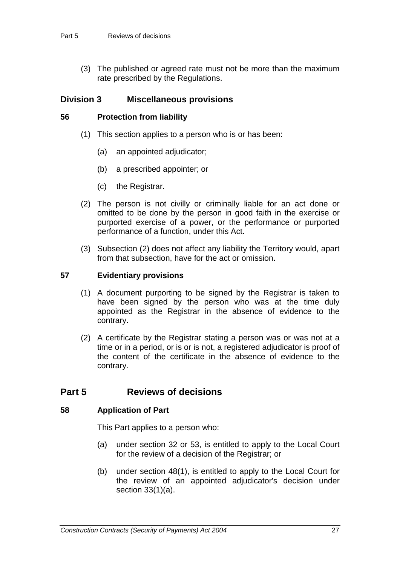(3) The published or agreed rate must not be more than the maximum rate prescribed by the Regulations.

### **Division 3 Miscellaneous provisions**

### **56 Protection from liability**

- (1) This section applies to a person who is or has been:
	- (a) an appointed adjudicator;
	- (b) a prescribed appointer; or
	- (c) the Registrar.
- (2) The person is not civilly or criminally liable for an act done or omitted to be done by the person in good faith in the exercise or purported exercise of a power, or the performance or purported performance of a function, under this Act.
- (3) Subsection (2) does not affect any liability the Territory would, apart from that subsection, have for the act or omission.

### **57 Evidentiary provisions**

- (1) A document purporting to be signed by the Registrar is taken to have been signed by the person who was at the time duly appointed as the Registrar in the absence of evidence to the contrary.
- (2) A certificate by the Registrar stating a person was or was not at a time or in a period, or is or is not, a registered adjudicator is proof of the content of the certificate in the absence of evidence to the contrary.

## **Part 5 Reviews of decisions**

### **58 Application of Part**

This Part applies to a person who:

- (a) under section 32 or 53, is entitled to apply to the Local Court for the review of a decision of the Registrar; or
- (b) under section 48(1), is entitled to apply to the Local Court for the review of an appointed adjudicator's decision under section 33(1)(a).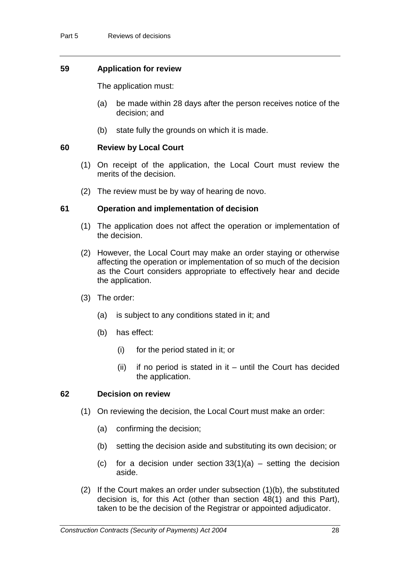### **59 Application for review**

The application must:

- (a) be made within 28 days after the person receives notice of the decision; and
- (b) state fully the grounds on which it is made.

### **60 Review by Local Court**

- (1) On receipt of the application, the Local Court must review the merits of the decision.
- (2) The review must be by way of hearing de novo.

### **61 Operation and implementation of decision**

- (1) The application does not affect the operation or implementation of the decision.
- (2) However, the Local Court may make an order staying or otherwise affecting the operation or implementation of so much of the decision as the Court considers appropriate to effectively hear and decide the application.
- (3) The order:
	- (a) is subject to any conditions stated in it; and
	- (b) has effect:
		- (i) for the period stated in it; or
		- (ii) if no period is stated in it until the Court has decided the application.

#### **62 Decision on review**

- (1) On reviewing the decision, the Local Court must make an order:
	- (a) confirming the decision;
	- (b) setting the decision aside and substituting its own decision; or
	- (c) for a decision under section  $33(1)(a)$  setting the decision aside.
- (2) If the Court makes an order under subsection (1)(b), the substituted decision is, for this Act (other than section 48(1) and this Part), taken to be the decision of the Registrar or appointed adjudicator.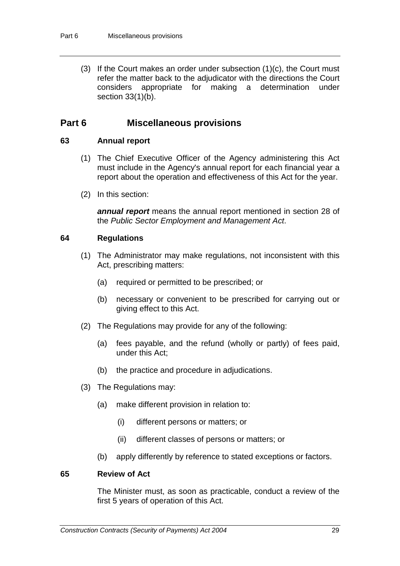(3) If the Court makes an order under subsection (1)(c), the Court must refer the matter back to the adjudicator with the directions the Court considers appropriate for making a determination under section 33(1)(b).

### **Part 6 Miscellaneous provisions**

### **63 Annual report**

- (1) The Chief Executive Officer of the Agency administering this Act must include in the Agency's annual report for each financial year a report about the operation and effectiveness of this Act for the year.
- (2) In this section:

*annual report* means the annual report mentioned in section 28 of the *Public Sector Employment and Management Act*.

### **64 Regulations**

- (1) The Administrator may make regulations, not inconsistent with this Act, prescribing matters:
	- (a) required or permitted to be prescribed; or
	- (b) necessary or convenient to be prescribed for carrying out or giving effect to this Act.
- (2) The Regulations may provide for any of the following:
	- (a) fees payable, and the refund (wholly or partly) of fees paid, under this Act;
	- (b) the practice and procedure in adjudications.
- (3) The Regulations may:
	- (a) make different provision in relation to:
		- (i) different persons or matters; or
		- (ii) different classes of persons or matters; or
	- (b) apply differently by reference to stated exceptions or factors.

### **65 Review of Act**

The Minister must, as soon as practicable, conduct a review of the first 5 years of operation of this Act.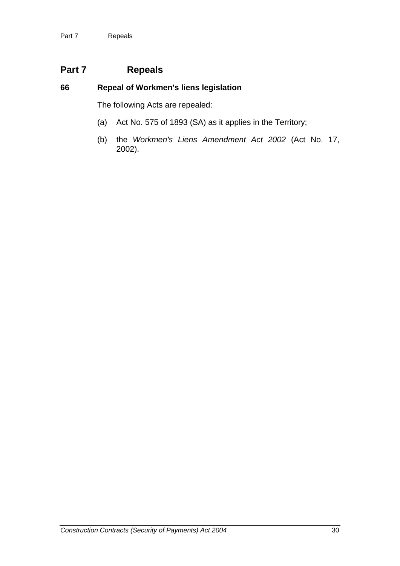# **Part 7 Repeals**

### **66 Repeal of Workmen's liens legislation**

The following Acts are repealed:

- (a) Act No. 575 of 1893 (SA) as it applies in the Territory;
- (b) the *Workmen's Liens Amendment Act 2002* (Act No. 17, 2002).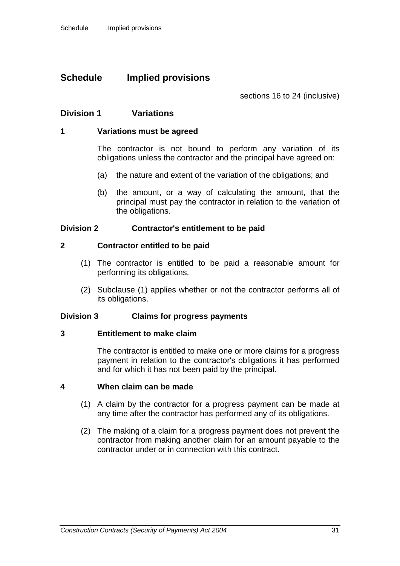## **Schedule Implied provisions**

sections 16 to 24 (inclusive)

### **Division 1 Variations**

### **1 Variations must be agreed**

The contractor is not bound to perform any variation of its obligations unless the contractor and the principal have agreed on:

- (a) the nature and extent of the variation of the obligations; and
- (b) the amount, or a way of calculating the amount, that the principal must pay the contractor in relation to the variation of the obligations.

### **Division 2 Contractor's entitlement to be paid**

### **2 Contractor entitled to be paid**

- (1) The contractor is entitled to be paid a reasonable amount for performing its obligations.
- (2) Subclause (1) applies whether or not the contractor performs all of its obligations.

#### **Division 3 Claims for progress payments**

#### **3 Entitlement to make claim**

The contractor is entitled to make one or more claims for a progress payment in relation to the contractor's obligations it has performed and for which it has not been paid by the principal.

#### **4 When claim can be made**

- (1) A claim by the contractor for a progress payment can be made at any time after the contractor has performed any of its obligations.
- (2) The making of a claim for a progress payment does not prevent the contractor from making another claim for an amount payable to the contractor under or in connection with this contract.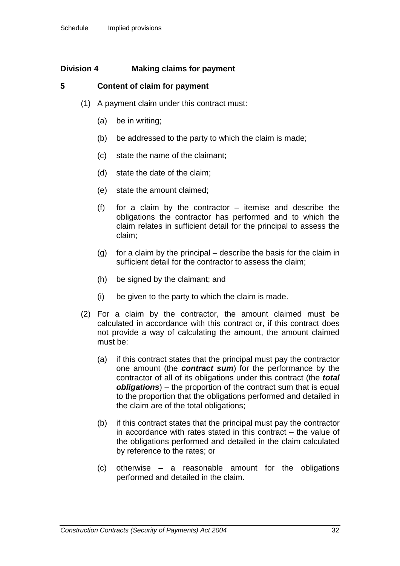### **Division 4 Making claims for payment**

### **5 Content of claim for payment**

- (1) A payment claim under this contract must:
	- (a) be in writing;
	- (b) be addressed to the party to which the claim is made;
	- (c) state the name of the claimant;
	- (d) state the date of the claim;
	- (e) state the amount claimed;
	- (f) for a claim by the contractor itemise and describe the obligations the contractor has performed and to which the claim relates in sufficient detail for the principal to assess the claim;
	- (g) for a claim by the principal describe the basis for the claim in sufficient detail for the contractor to assess the claim;
	- (h) be signed by the claimant; and
	- (i) be given to the party to which the claim is made.
- (2) For a claim by the contractor, the amount claimed must be calculated in accordance with this contract or, if this contract does not provide a way of calculating the amount, the amount claimed must be:
	- (a) if this contract states that the principal must pay the contractor one amount (the *contract sum*) for the performance by the contractor of all of its obligations under this contract (the *total obligations*) – the proportion of the contract sum that is equal to the proportion that the obligations performed and detailed in the claim are of the total obligations;
	- (b) if this contract states that the principal must pay the contractor in accordance with rates stated in this contract – the value of the obligations performed and detailed in the claim calculated by reference to the rates; or
	- (c) otherwise a reasonable amount for the obligations performed and detailed in the claim.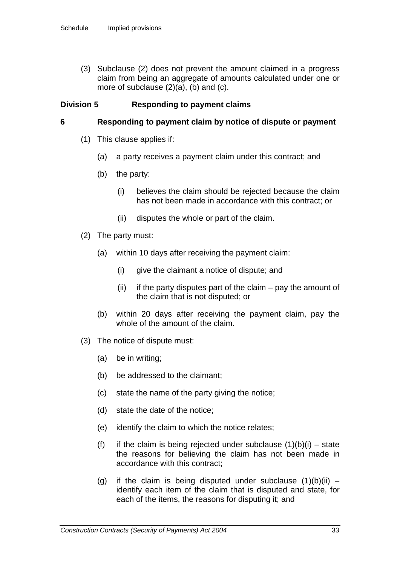(3) Subclause (2) does not prevent the amount claimed in a progress claim from being an aggregate of amounts calculated under one or more of subclause (2)(a), (b) and (c).

### **Division 5 Responding to payment claims**

### **6 Responding to payment claim by notice of dispute or payment**

- (1) This clause applies if:
	- (a) a party receives a payment claim under this contract; and
	- (b) the party:
		- (i) believes the claim should be rejected because the claim has not been made in accordance with this contract; or
		- (ii) disputes the whole or part of the claim.
- (2) The party must:
	- (a) within 10 days after receiving the payment claim:
		- (i) give the claimant a notice of dispute; and
		- $(ii)$  if the party disputes part of the claim pay the amount of the claim that is not disputed; or
	- (b) within 20 days after receiving the payment claim, pay the whole of the amount of the claim.
- (3) The notice of dispute must:
	- (a) be in writing;
	- (b) be addressed to the claimant;
	- (c) state the name of the party giving the notice;
	- (d) state the date of the notice;
	- (e) identify the claim to which the notice relates;
	- (f) if the claim is being rejected under subclause  $(1)(b)(i)$  state the reasons for believing the claim has not been made in accordance with this contract;
	- (g) if the claim is being disputed under subclause  $(1)(b)(ii)$  identify each item of the claim that is disputed and state, for each of the items, the reasons for disputing it; and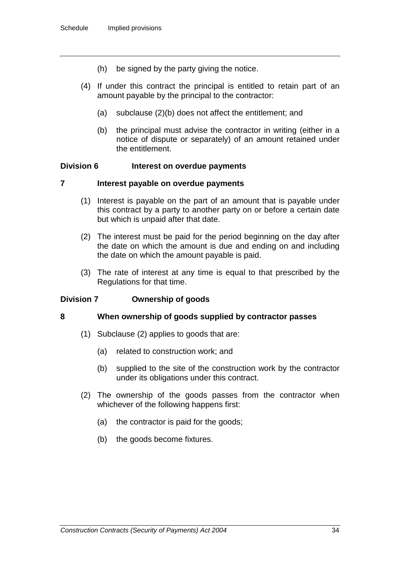- (h) be signed by the party giving the notice.
- (4) If under this contract the principal is entitled to retain part of an amount payable by the principal to the contractor:
	- (a) subclause (2)(b) does not affect the entitlement; and
	- (b) the principal must advise the contractor in writing (either in a notice of dispute or separately) of an amount retained under the entitlement.

#### **Division 6 Interest on overdue payments**

#### **7 Interest payable on overdue payments**

- (1) Interest is payable on the part of an amount that is payable under this contract by a party to another party on or before a certain date but which is unpaid after that date.
- (2) The interest must be paid for the period beginning on the day after the date on which the amount is due and ending on and including the date on which the amount payable is paid.
- (3) The rate of interest at any time is equal to that prescribed by the Regulations for that time.

#### **Division 7 Ownership of goods**

#### **8 When ownership of goods supplied by contractor passes**

- (1) Subclause (2) applies to goods that are:
	- (a) related to construction work; and
	- (b) supplied to the site of the construction work by the contractor under its obligations under this contract.
- (2) The ownership of the goods passes from the contractor when whichever of the following happens first:
	- (a) the contractor is paid for the goods;
	- (b) the goods become fixtures.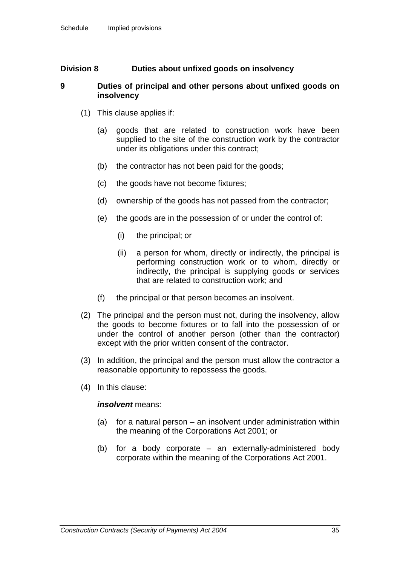### **Division 8 Duties about unfixed goods on insolvency**

### **9 Duties of principal and other persons about unfixed goods on insolvency**

- (1) This clause applies if:
	- (a) goods that are related to construction work have been supplied to the site of the construction work by the contractor under its obligations under this contract;
	- (b) the contractor has not been paid for the goods;
	- (c) the goods have not become fixtures;
	- (d) ownership of the goods has not passed from the contractor;
	- (e) the goods are in the possession of or under the control of:
		- (i) the principal; or
		- (ii) a person for whom, directly or indirectly, the principal is performing construction work or to whom, directly or indirectly, the principal is supplying goods or services that are related to construction work; and
	- (f) the principal or that person becomes an insolvent.
- (2) The principal and the person must not, during the insolvency, allow the goods to become fixtures or to fall into the possession of or under the control of another person (other than the contractor) except with the prior written consent of the contractor.
- (3) In addition, the principal and the person must allow the contractor a reasonable opportunity to repossess the goods.
- (4) In this clause:

#### *insolvent* means:

- (a) for a natural person an insolvent under administration within the meaning of the Corporations Act 2001; or
- (b) for a body corporate an externally-administered body corporate within the meaning of the Corporations Act 2001.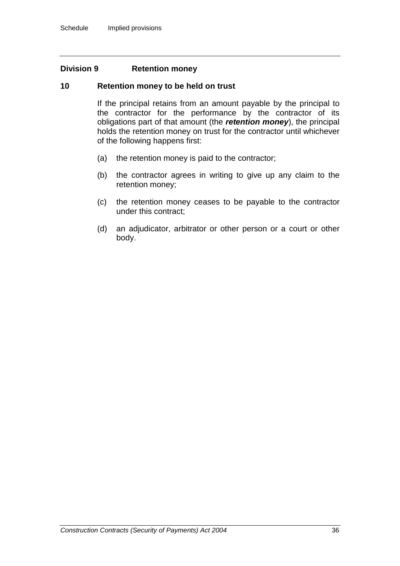### **Division 9 Retention money**

### **10 Retention money to be held on trust**

If the principal retains from an amount payable by the principal to the contractor for the performance by the contractor of its obligations part of that amount (the *retention money*), the principal holds the retention money on trust for the contractor until whichever of the following happens first:

- (a) the retention money is paid to the contractor;
- (b) the contractor agrees in writing to give up any claim to the retention money;
- (c) the retention money ceases to be payable to the contractor under this contract;
- (d) an adjudicator, arbitrator or other person or a court or other body.